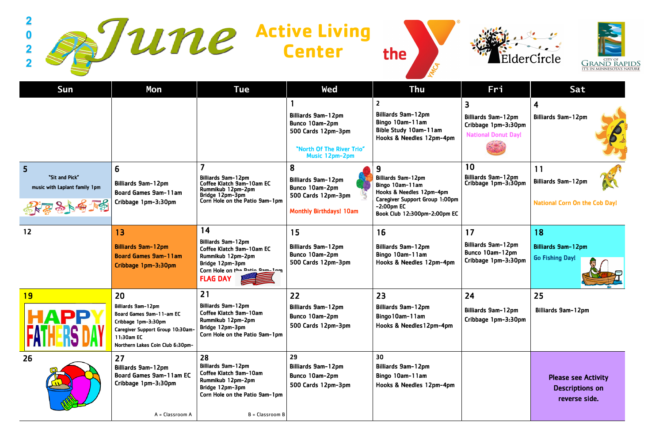|                                                                                     | une                                                                                                                                                         |                                                                                                                                                           | <b>Active Living<br/>Center</b>                                                                                  | the                                                                                                                                                                     |                                                                                     | ElderCircle<br><b>GRAND RAP</b><br>it's in minnesota's na               |
|-------------------------------------------------------------------------------------|-------------------------------------------------------------------------------------------------------------------------------------------------------------|-----------------------------------------------------------------------------------------------------------------------------------------------------------|------------------------------------------------------------------------------------------------------------------|-------------------------------------------------------------------------------------------------------------------------------------------------------------------------|-------------------------------------------------------------------------------------|-------------------------------------------------------------------------|
| Sun                                                                                 | Mon                                                                                                                                                         | <b>Tue</b>                                                                                                                                                | Wed                                                                                                              | Thu                                                                                                                                                                     | Fri                                                                                 | Sat                                                                     |
|                                                                                     |                                                                                                                                                             |                                                                                                                                                           | <b>Billiards 9am-12pm</b><br>Bunco 10am-2pm<br>500 Cards 12pm-3pm<br>"North Of The River Trio"<br>Music 12pm-2pm | <b>Billiards 9am-12pm</b><br>Bingo 10am-11am<br>Bible Study 10am-11am<br>Hooks & Needles 12pm-4pm                                                                       | 3<br><b>Billiards 9am-12pm</b><br>Cribbage 1pm-3:30pm<br><b>National Donut Day!</b> | $\overline{\mathbf{4}}$<br><b>Billiards 9am-12pm</b>                    |
| 5<br>"Sit and Pick"<br>music with Laplant family 1pm<br>$\frac{2}{3}$ $\frac{1}{3}$ | 6<br><b>Billiards 9am-12pm</b><br><b>Board Games 9am-11am</b><br>Cribbage 1pm-3:30pm                                                                        | $\overline{7}$<br><b>Billiards 9am-12pm</b><br>Coffee Klatch 9am-10am EC<br>Rummikub 12pm-2pm<br>Bridge 12pm-3pm<br>Corn Hole on the Patio 9am-1pm        | 8<br><b>Billiards 9am-12pm</b><br>Bunco 10am-2pm<br>500 Cards 12pm-3pm<br><b>Monthly Birthdays! 10am</b>         | 9<br><b>Billiards 9am-12pm</b><br>Bingo 10am-11am<br>Hooks & Needles 12pm-4pm<br><b>Caregiver Support Group 1:00pm</b><br>$-2:00$ pm EC<br>Book Club 12:300pm-2:00pm EC | 10<br><b>Billiards 9am-12pm</b><br>Cribbage 1pm-3:30pm                              | 11<br><b>Billiards 9am-12pm</b><br><b>National Corn On the Cob Day!</b> |
| 12                                                                                  | 13<br><b>Billiards 9am-12pm</b><br><b>Board Games 9am-11am</b><br>Cribbage 1pm-3:30pm                                                                       | 14<br><b>Billiards 9am-12pm</b><br>Coffee Klatch 9am-10am EC<br>Rummikub 12pm-2pm<br>Bridge 12pm-3pm<br>Corn Hole on the Datio Qam-1nm<br><b>FLAG DAY</b> | 15<br><b>Billiards 9am-12pm</b><br>Bunco 10am-2pm<br>500 Cards 12pm-3pm                                          | 16<br><b>Billiards 9am-12pm</b><br>Bingo 10am-11am<br>Hooks & Needles 12pm-4pm                                                                                          | 17<br><b>Billiards 9am-12pm</b><br>Bunco 10am-12pm<br>Cribbage 1pm-3:30pm           | 18<br><b>Billiards 9am-12pm</b><br><b>Go Fishing Day!</b>               |
| <b>19</b>                                                                           | <b>20</b>                                                                                                                                                   | 21                                                                                                                                                        | 22                                                                                                               | 23                                                                                                                                                                      | 24                                                                                  | 25                                                                      |
| <b>HAPP</b>                                                                         | Billiards 9am-12pm<br>Board Games 9am-11-am EC<br>Cribbage 1pm-3:30pm<br>Caregiver Support Group 10:30am-<br>11:30am EC<br>Northern Lakes Coin Club 6:30pm- | <b>Billiards 9am-12pm</b><br>Coffee Klatch 9am-10am<br>Rummikub 12pm-2pm<br>Bridge 12pm-3pm<br>Corn Hole on the Patio 9am-1pm                             | <b>Billiards 9am-12pm</b><br>Bunco 10am-2pm<br>500 Cards 12pm-3pm                                                | <b>Billiards 9am-12pm</b><br>Bingo 10am-11am<br>Hooks & Needles 12pm-4pm                                                                                                | <b>Billiards 9am-12pm</b><br>Cribbage 1pm-3:30pm                                    | <b>Billiards 9am-12pm</b>                                               |
| 26                                                                                  | 27<br><b>Billiards 9am-12pm</b><br><b>Board Games 9am-11am EC</b><br>Cribbage 1pm-3:30pm<br>A = Classroom A                                                 | 28<br><b>Billiards 9am-12pm</b><br>Coffee Klatch 9am-10am<br>Rummikub 12pm-2pm<br>Bridge 12pm-3pm<br>Corn Hole on the Patio 9am-1pm<br>$B = Classroom B$  | 29<br><b>Billiards 9am-12pm</b><br>Bunco 10am-2pm<br>500 Cards 12pm-3pm                                          | 30<br><b>Billiards 9am-12pm</b><br>Bingo 10am-11am<br>Hooks & Needles 12pm-4pm                                                                                          |                                                                                     | <b>Please see Activity</b><br><b>Descriptions on</b><br>reverse side.   |